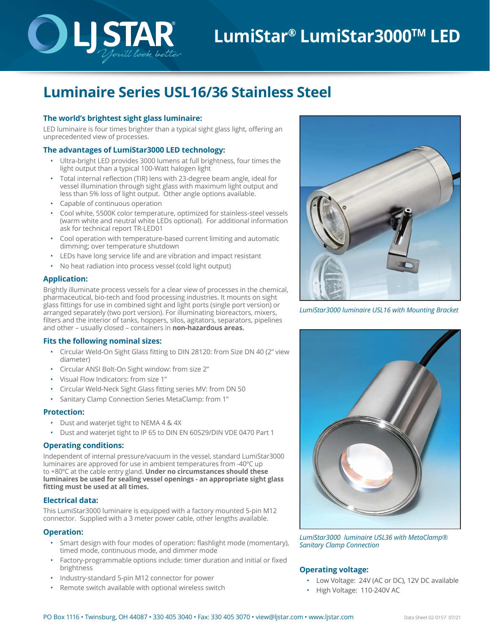# **LumiStar® LumiStar3000TM LED**

## **Luminaire Series USL16/36 Stainless Steel**

®

#### **The world's brightest sight glass luminaire:**

LED luminaire is four times brighter than a typical sight glass light, offering an unprecedented view of processes.

#### **The advantages of LumiStar3000 LED technology:**

You'll look better

- Ultra-bright LED provides 3000 lumens at full brightness, four times the light output than a typical 100-Watt halogen light
- Total internal reflection (TIR) lens with 23-degree beam angle, ideal for vessel illumination through sight glass with maximum light output and less than 5% loss of light output. Other angle options available.
- Capable of continuous operation
- Cool white, 5500K color temperature, optimized for stainless-steel vessels (warm white and neutral white LEDs optional). For additional information ask for technical report TR-LED01
- Cool operation with temperature-based current limiting and automatic dimming; over temperature shutdown
- LEDs have long service life and are vibration and impact resistant
- No heat radiation into process vessel (cold light output)

#### **Application:**

Brightly illuminate process vessels for a clear view of processes in the chemical, pharmaceutical, bio-tech and food processing industries. It mounts on sight glass fittings for use in combined sight and light ports (single port version) or arranged separately (two port version). For illuminating bioreactors, mixers, filters and the interior of tanks, hoppers, silos, agitators, separators, pipelines and other – usually closed – containers in **non-hazardous areas.**

#### **Fits the following nominal sizes:**

- Circular Weld-On Sight Glass fitting to DIN 28120: from Size DN 40 (2" view diameter)
- Circular ANSI Bolt-On Sight window: from size 2"
- Visual Flow Indicators: from size 1"
- Circular Weld-Neck Sight Glass fitting series MV: from DN 50
- Sanitary Clamp Connection Series MetaClamp: from 1"

#### **Protection:**

- Dust and waterjet tight to NEMA 4 & 4X
- Dust and waterjet tight to IP 65 to DIN EN 60529/DIN VDE 0470 Part 1

#### **Operating conditions:**

Independent of internal pressure/vacuum in the vessel, standard LumiStar3000 luminaires are approved for use in ambient temperatures from -40ºC up to +80ºC at the cable entry gland. **Under no circumstances should these luminaires be used for sealing vessel openings - an appropriate sight glass fitting must be used at all times.**

#### **Electrical data:**

This LumiStar3000 luminaire is equipped with a factory mounted 5-pin M12 connector. Supplied with a 3 meter power cable, other lengths available.

#### **Operation:**

- Smart design with four modes of operation: flashlight mode (momentary), timed mode, continuous mode, and dimmer mode
- Factory-programmable options include: timer duration and initial or fixed brightness
- Industry-standard 5-pin M12 connector for power
- Remote switch available with optional wireless switch



*LumiStar3000 luminaire USL16 with Mounting Bracket*



*LumiStar3000 luminaire USL36 with MetaClamp® Sanitary Clamp Connection*

#### **Operating voltage:**

- Low Voltage: 24V (AC or DC), 12V DC available
- High Voltage: 110-240V AC